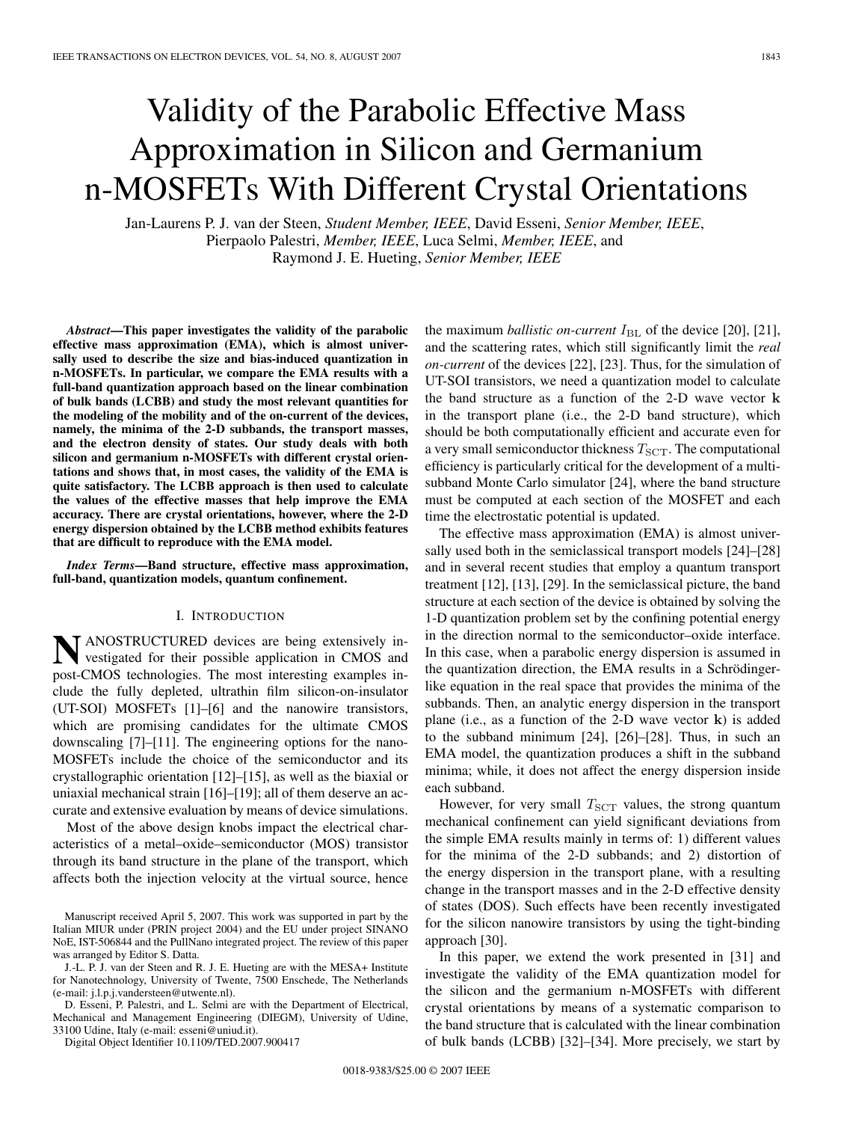# Validity of the Parabolic Effective Mass Approximation in Silicon and Germanium n-MOSFETs With Different Crystal Orientations

Jan-Laurens P. J. van der Steen, *Student Member, IEEE*, David Esseni, *Senior Member, IEEE*, Pierpaolo Palestri, *Member, IEEE*, Luca Selmi, *Member, IEEE*, and Raymond J. E. Hueting, *Senior Member, IEEE*

*Abstract***—This paper investigates the validity of the parabolic effective mass approximation (EMA), which is almost universally used to describe the size and bias-induced quantization in n-MOSFETs. In particular, we compare the EMA results with a full-band quantization approach based on the linear combination of bulk bands (LCBB) and study the most relevant quantities for the modeling of the mobility and of the on-current of the devices, namely, the minima of the 2-D subbands, the transport masses, and the electron density of states. Our study deals with both silicon and germanium n-MOSFETs with different crystal orientations and shows that, in most cases, the validity of the EMA is quite satisfactory. The LCBB approach is then used to calculate the values of the effective masses that help improve the EMA accuracy. There are crystal orientations, however, where the 2-D energy dispersion obtained by the LCBB method exhibits features that are difficult to reproduce with the EMA model.**

*Index Terms***—Band structure, effective mass approximation, full-band, quantization models, quantum confinement.**

# I. INTRODUCTION

**N**ANOSTRUCTURED devices are being extensively investigated for their possible application in CMOS and post-CMOS technologies. The most interesting examples include the fully depleted, ultrathin film silicon-on-insulator (UT-SOI) MOSFETs [1]–[6] and the nanowire transistors, which are promising candidates for the ultimate CMOS downscaling [7]–[11]. The engineering options for the nano-MOSFETs include the choice of the semiconductor and its crystallographic orientation [12]–[15], as well as the biaxial or uniaxial mechanical strain [16]–[19]; all of them deserve an accurate and extensive evaluation by means of device simulations.

Most of the above design knobs impact the electrical characteristics of a metal–oxide–semiconductor (MOS) transistor through its band structure in the plane of the transport, which affects both the injection velocity at the virtual source, hence

J.-L. P. J. van der Steen and R. J. E. Hueting are with the MESA+ Institute for Nanotechnology, University of Twente, 7500 Enschede, The Netherlands (e-mail: j.l.p.j.vandersteen@utwente.nl).

D. Esseni, P. Palestri, and L. Selmi are with the Department of Electrical, Mechanical and Management Engineering (DIEGM), University of Udine, 33100 Udine, Italy (e-mail: esseni@uniud.it).

Digital Object Identifier 10.1109/TED.2007.900417

the maximum *ballistic on-current*  $I_{BL}$  of the device [20], [21], and the scattering rates, which still significantly limit the *real on-current* of the devices [22], [23]. Thus, for the simulation of UT-SOI transistors, we need a quantization model to calculate the band structure as a function of the 2-D wave vector **k** in the transport plane (i.e., the 2-D band structure), which should be both computationally efficient and accurate even for a very small semiconductor thickness  $T_{\text{SCT}}$ . The computational efficiency is particularly critical for the development of a multisubband Monte Carlo simulator [24], where the band structure must be computed at each section of the MOSFET and each time the electrostatic potential is updated.

The effective mass approximation (EMA) is almost universally used both in the semiclassical transport models [24]–[28] and in several recent studies that employ a quantum transport treatment [12], [13], [29]. In the semiclassical picture, the band structure at each section of the device is obtained by solving the 1-D quantization problem set by the confining potential energy in the direction normal to the semiconductor–oxide interface. In this case, when a parabolic energy dispersion is assumed in the quantization direction, the EMA results in a Schrödingerlike equation in the real space that provides the minima of the subbands. Then, an analytic energy dispersion in the transport plane (i.e., as a function of the 2-D wave vector **k**) is added to the subband minimum [24], [26]–[28]. Thus, in such an EMA model, the quantization produces a shift in the subband minima; while, it does not affect the energy dispersion inside each subband.

However, for very small  $T_{\text{SCT}}$  values, the strong quantum mechanical confinement can yield significant deviations from the simple EMA results mainly in terms of: 1) different values for the minima of the 2-D subbands; and 2) distortion of the energy dispersion in the transport plane, with a resulting change in the transport masses and in the 2-D effective density of states (DOS). Such effects have been recently investigated for the silicon nanowire transistors by using the tight-binding approach [30].

In this paper, we extend the work presented in [31] and investigate the validity of the EMA quantization model for the silicon and the germanium n-MOSFETs with different crystal orientations by means of a systematic comparison to the band structure that is calculated with the linear combination of bulk bands (LCBB) [32]–[34]. More precisely, we start by

Manuscript received April 5, 2007. This work was supported in part by the Italian MIUR under (PRIN project 2004) and the EU under project SINANO NoE, IST-506844 and the PullNano integrated project. The review of this paper was arranged by Editor S. Datta.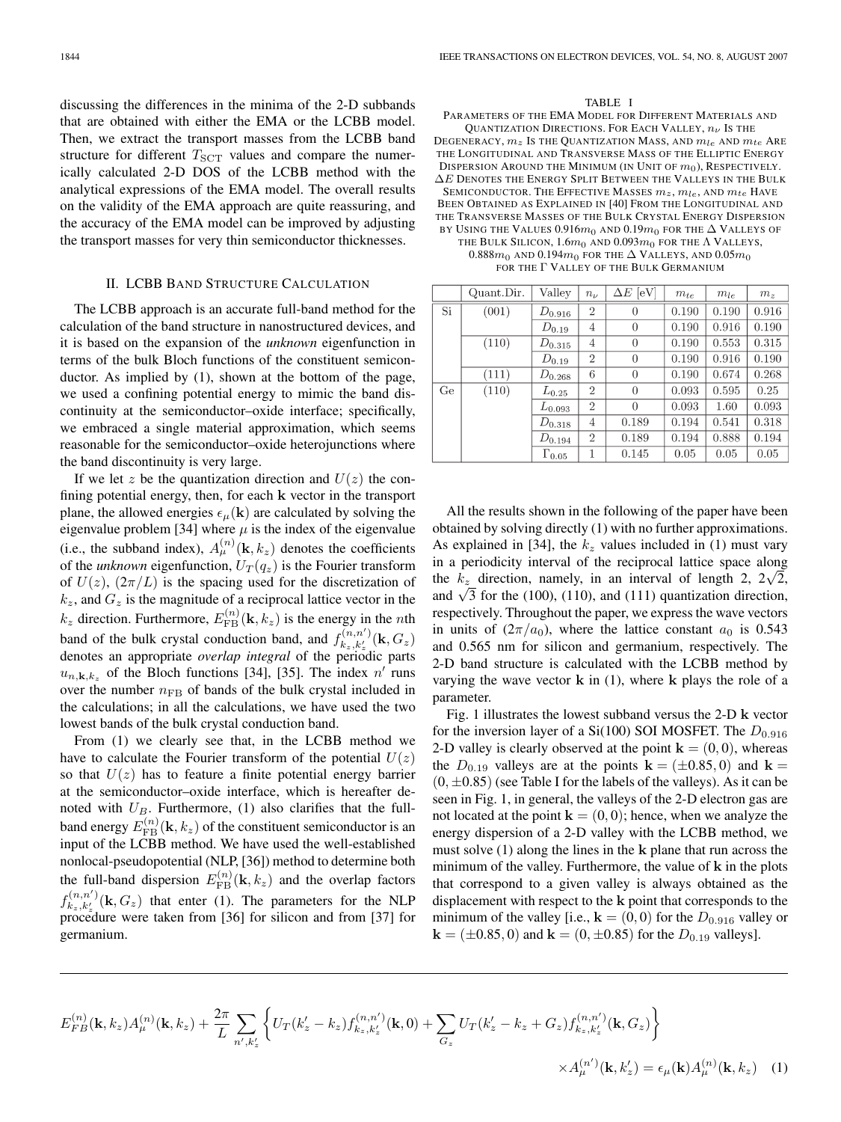discussing the differences in the minima of the 2-D subbands that are obtained with either the EMA or the LCBB model. Then, we extract the transport masses from the LCBB band structure for different  $T_{SCT}$  values and compare the numerically calculated 2-D DOS of the LCBB method with the analytical expressions of the EMA model. The overall results on the validity of the EMA approach are quite reassuring, and the accuracy of the EMA model can be improved by adjusting the transport masses for very thin semiconductor thicknesses.

# II. LCBB BAND STRUCTURE CALCULATION

The LCBB approach is an accurate full-band method for the calculation of the band structure in nanostructured devices, and it is based on the expansion of the *unknown* eigenfunction in terms of the bulk Bloch functions of the constituent semiconductor. As implied by (1), shown at the bottom of the page, we used a confining potential energy to mimic the band discontinuity at the semiconductor–oxide interface; specifically, we embraced a single material approximation, which seems reasonable for the semiconductor–oxide heterojunctions where the band discontinuity is very large.

If we let z be the quantization direction and  $U(z)$  the confining potential energy, then, for each **k** vector in the transport plane, the allowed energies  $\epsilon_{\mu}(\mathbf{k})$  are calculated by solving the eigenvalue problem [34] where  $\mu$  is the index of the eigenvalue (i.e., the subband index),  $A_{\mu}^{(n)}(\mathbf{k}, k_z)$  denotes the coefficients of the *unknown* eigenfunction,  $U_T(q_z)$  is the Fourier transform of  $U(z)$ ,  $(2\pi/L)$  is the spacing used for the discretization of  $k_z$ , and  $G_z$  is the magnitude of a reciprocal lattice vector in the  $k_z$  direction. Furthermore,  $E_{\rm FB}^{(n)}(\mathbf{k}, k_z)$  is the energy in the *n*th band of the bulk crystal conduction band, and  $f_{k_z,k'_z}^{(n,n')}(\mathbf{k},G_z)$ denotes an appropriate *overlap integral* of the periodic parts  $u_{n,\mathbf{k},k_z}$  of the Bloch functions [34], [35]. The index  $n'$  runs over the number  $n_{\text{FB}}$  of bands of the bulk crystal included in the calculations; in all the calculations, we have used the two lowest bands of the bulk crystal conduction band.

From (1) we clearly see that, in the LCBB method we have to calculate the Fourier transform of the potential  $U(z)$ so that  $U(z)$  has to feature a finite potential energy barrier at the semiconductor–oxide interface, which is hereafter denoted with  $U_B$ . Furthermore, (1) also clarifies that the fullband energy  $E_{\text{FB}}^{(n)}(\mathbf{k},k_z)$  of the constituent semiconductor is an input of the LCBB method. We have used the well-established nonlocal-pseudopotential (NLP, [36]) method to determine both the full-band dispersion  $E_{\text{FB}}^{(n)}(\mathbf{k},k_z)$  and the overlap factors  $f_{k_z,k'_z}^{(n,n')}$  (k,  $G_z$ ) that enter (1). The parameters for the NLP procedure were taken from [36] for silicon and from [37] for germanium.

#### TABLE I

PARAMETERS OF THE EMA MODEL FOR DIFFERENT MATERIALS AND QUANTIZATION DIRECTIONS. FOR EACH VALLEY,  $n_{\nu}$  Is the DEGENERACY,  $m_z$  Is the Quantization Mass, and  $m_{le}$  and  $m_{te}$  Are THE LONGITUDINAL AND TRANSVERSE MASS OF THE ELLIPTIC ENERGY DISPERSION AROUND THE MINIMUM (IN UNIT OF  $m_0$ ), RESPECTIVELY.  $\Delta E$  Denotes the Energy Split Between the Valleys in the Bulk SEMICONDUCTOR. THE EFFECTIVE MASSES  $m_z,\,m_{le},$  AND  $m_{te}$  Have BEEN OBTAINED AS EXPLAINED IN [40] FROM THE LONGITUDINAL AND THE TRANSVERSE MASSES OF THE BULK CRYSTAL ENERGY DISPERSION BY USING THE VALUES 0.916 $m_0$  and 0.19 $m_0$  for the  $\Delta$  Valleys of THE BULK SILICON,  $1.6m_0$  AND  $0.093m_0$  for the  $\Lambda$  Valleys, 0.888 $m_0$  AND 0.194 $m_0$  for the  $\Delta$  Valleys, and 0.05 $m_0$ FOR THE Γ VALLEY OF THE BULK GERMANIUM

|    | Quant.Dir. | Valley          | $n_{\nu}$      | $\Delta E$ [eV]  | $m_{te}$ | $m_{le}$ | m <sub>z</sub> |
|----|------------|-----------------|----------------|------------------|----------|----------|----------------|
| Si | (001)      | $D_{0.916}$     | $\overline{2}$ | $\boldsymbol{0}$ | 0.190    | 0.190    | 0.916          |
|    |            | $D_{0.19}$      | $\overline{4}$ | $\theta$         | 0.190    | 0.916    | 0.190          |
|    | (110)      | $D_{0.315}$     | 4              | $\theta$         | 0.190    | 0.553    | 0.315          |
|    |            | $D_{0.19}$      | $\overline{2}$ | $\theta$         | 0.190    | 0.916    | 0.190          |
|    | (111)      | $D_{0.268}$     | 6              | $\overline{0}$   | 0.190    | 0.674    | 0.268          |
| Ge | (110)      | $L_{0.25}$      | $\overline{2}$ | $\theta$         | 0.093    | 0.595    | 0.25           |
|    |            | $L_{0.093}$     | $\overline{2}$ | $\Omega$         | 0.093    | 1.60     | 0.093          |
|    |            | $D_{0.318}$     | 4              | 0.189            | 0.194    | 0.541    | 0.318          |
|    |            | $D_{0.194}$     | $\overline{2}$ | 0.189            | 0.194    | 0.888    | 0.194          |
|    |            | $\Gamma_{0.05}$ | 1              | 0.145            | 0.05     | 0.05     | 0.05           |

All the results shown in the following of the paper have been obtained by solving directly (1) with no further approximations. As explained in [34], the  $k_z$  values included in (1) must vary in a periodicity interval of the reciprocal lattice space along the  $k_z$  direction, namely, in an interval of length 2,  $2\sqrt{2}$ , and  $\sqrt{3}$  for the (100), (110), and (111) quantization direction, respectively. Throughout the paper, we express the wave vectors in units of  $(2\pi/a_0)$ , where the lattice constant  $a_0$  is 0.543 and 0.565 nm for silicon and germanium, respectively. The 2-D band structure is calculated with the LCBB method by varying the wave vector **k** in (1), where **k** plays the role of a parameter.

Fig. 1 illustrates the lowest subband versus the 2-D **k** vector for the inversion layer of a Si(100) SOI MOSFET. The  $D_{0.916}$ 2-D valley is clearly observed at the point  $\mathbf{k} = (0,0)$ , whereas the  $D_{0.19}$  valleys are at the points  $\mathbf{k} = (\pm 0.85, 0)$  and  $\mathbf{k} =$  $(0, \pm 0.85)$  (see Table I for the labels of the valleys). As it can be seen in Fig. 1, in general, the valleys of the 2-D electron gas are not located at the point  $\mathbf{k} = (0, 0)$ ; hence, when we analyze the energy dispersion of a 2-D valley with the LCBB method, we must solve (1) along the lines in the **k** plane that run across the minimum of the valley. Furthermore, the value of **k** in the plots that correspond to a given valley is always obtained as the displacement with respect to the **k** point that corresponds to the minimum of the valley [i.e.,  $\mathbf{k} = (0,0)$  for the  $D_{0.916}$  valley or  $\mathbf{k} = (\pm 0.85, 0)$  and  $\mathbf{k} = (0, \pm 0.85)$  for the  $D_{0.19}$  valleys].

$$
E_{FB}^{(n)}(\mathbf{k},k_z)A_{\mu}^{(n)}(\mathbf{k},k_z) + \frac{2\pi}{L} \sum_{n',k'_z} \left\{ U_T(k'_z - k_z) f_{k_z,k'_z}^{(n,n')}(\mathbf{k},0) + \sum_{G_z} U_T(k'_z - k_z + G_z) f_{k_z,k'_z}^{(n,n')}(\mathbf{k},G_z) \right\}
$$

$$
\times A_{\mu}^{(n')}(\mathbf{k},k'_z) = \epsilon_{\mu}(\mathbf{k}) A_{\mu}^{(n)}(\mathbf{k},k_z) \quad (1)
$$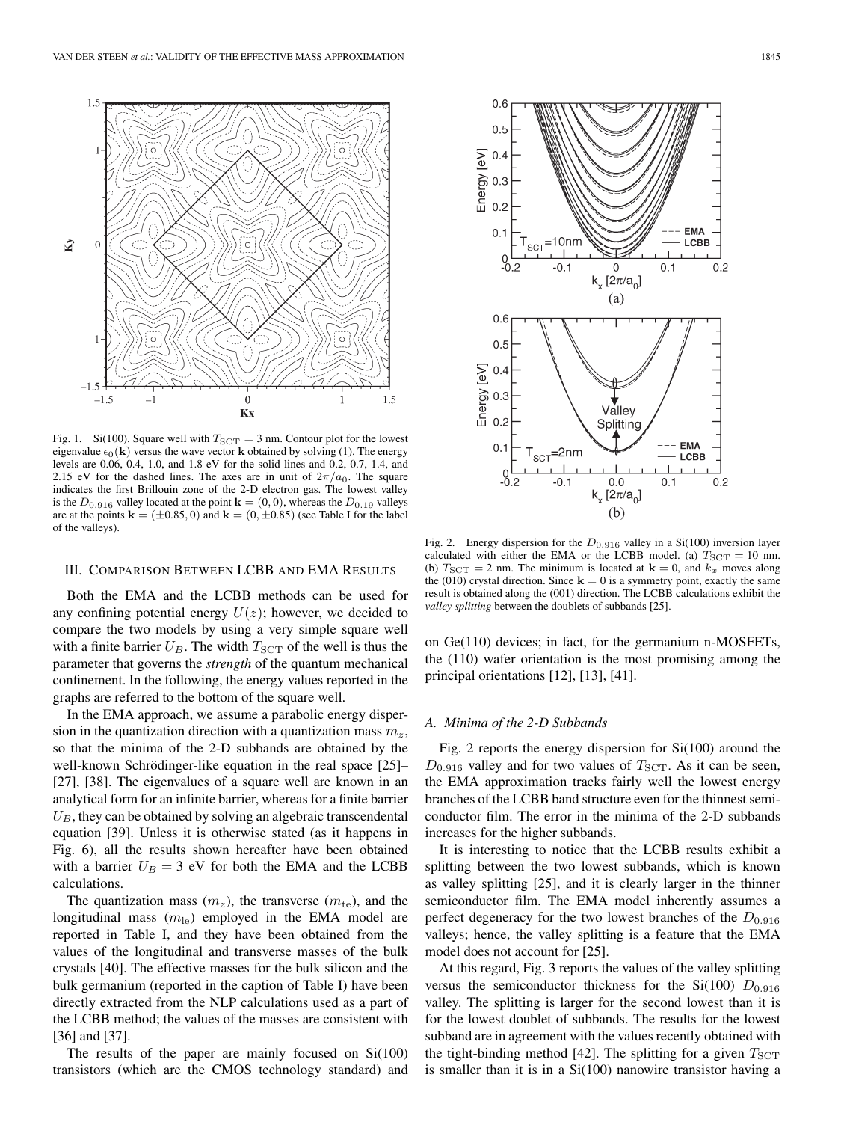

Fig. 1. Si(100). Square well with  $T_{SCT} = 3$  nm. Contour plot for the lowest eigenvalue  $\epsilon_0(\mathbf{k})$  versus the wave vector **k** obtained by solving (1). The energy levels are 0.06, 0.4, 1.0, and 1.8 eV for the solid lines and 0.2, 0.7, 1.4, and 2.15 eV for the dashed lines. The axes are in unit of  $2\pi/a_0$ . The square indicates the first Brillouin zone of the 2-D electron gas. The lowest valley is the  $D_{0.916}$  valley located at the point  $\mathbf{k} = (0,0)$ , whereas the  $D_{0.19}$  valleys are at the points  $\mathbf{k} = (\pm 0.85, 0)$  and  $\mathbf{k} = (0, \pm 0.85)$  (see Table I for the label of the valleys).

# III. COMPARISON BETWEEN LCBB AND EMA RESULTS

Both the EMA and the LCBB methods can be used for any confining potential energy  $U(z)$ ; however, we decided to compare the two models by using a very simple square well with a finite barrier  $U_B$ . The width  $T_{\text{SCT}}$  of the well is thus the parameter that governs the *strength* of the quantum mechanical confinement. In the following, the energy values reported in the graphs are referred to the bottom of the square well.

In the EMA approach, we assume a parabolic energy dispersion in the quantization direction with a quantization mass  $m_z$ , so that the minima of the 2-D subbands are obtained by the well-known Schrödinger-like equation in the real space [25]– [27], [38]. The eigenvalues of a square well are known in an analytical form for an infinite barrier, whereas for a finite barrier  $U_B$ , they can be obtained by solving an algebraic transcendental equation [39]. Unless it is otherwise stated (as it happens in Fig. 6), all the results shown hereafter have been obtained with a barrier  $U_B = 3$  eV for both the EMA and the LCBB calculations.

The quantization mass  $(m_z)$ , the transverse  $(m_{te})$ , and the longitudinal mass  $(m_{\text{le}})$  employed in the EMA model are reported in Table I, and they have been obtained from the values of the longitudinal and transverse masses of the bulk crystals [40]. The effective masses for the bulk silicon and the bulk germanium (reported in the caption of Table I) have been directly extracted from the NLP calculations used as a part of the LCBB method; the values of the masses are consistent with [36] and [37].

The results of the paper are mainly focused on Si(100) transistors (which are the CMOS technology standard) and



Fig. 2. Energy dispersion for the  $D_{0.916}$  valley in a Si(100) inversion layer calculated with either the EMA or the LCBB model. (a)  $T_{SCT} = 10$  nm. (b)  $T_{\text{SCT}} = 2$  nm. The minimum is located at  $\mathbf{k} = 0$ , and  $k_x$  moves along the (010) crystal direction. Since  $\mathbf{k} = 0$  is a symmetry point, exactly the same result is obtained along the (001) direction. The LCBB calculations exhibit the *valley splitting* between the doublets of subbands [25].

on Ge(110) devices; in fact, for the germanium n-MOSFETs, the (110) wafer orientation is the most promising among the principal orientations [12], [13], [41].

#### *A. Minima of the 2-DSubbands*

Fig. 2 reports the energy dispersion for Si(100) around the  $D_{0.916}$  valley and for two values of  $T_{\rm SCT}$ . As it can be seen, the EMA approximation tracks fairly well the lowest energy branches of the LCBB band structure even for the thinnest semiconductor film. The error in the minima of the 2-D subbands increases for the higher subbands.

It is interesting to notice that the LCBB results exhibit a splitting between the two lowest subbands, which is known as valley splitting [25], and it is clearly larger in the thinner semiconductor film. The EMA model inherently assumes a perfect degeneracy for the two lowest branches of the  $D_{0.916}$ valleys; hence, the valley splitting is a feature that the EMA model does not account for [25].

At this regard, Fig. 3 reports the values of the valley splitting versus the semiconductor thickness for the Si(100)  $D_{0.916}$ valley. The splitting is larger for the second lowest than it is for the lowest doublet of subbands. The results for the lowest subband are in agreement with the values recently obtained with the tight-binding method [42]. The splitting for a given  $T_{\text{SCT}}$ is smaller than it is in a Si(100) nanowire transistor having a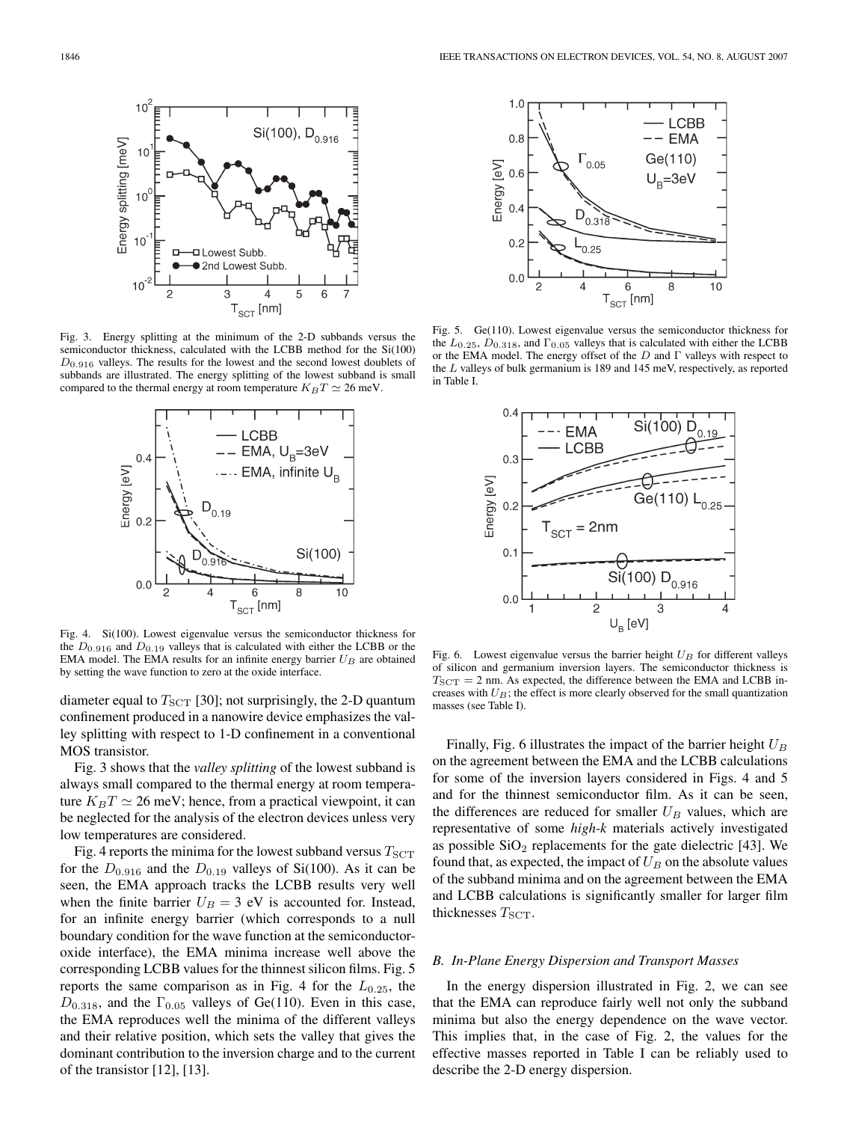

Fig. 3. Energy splitting at the minimum of the 2-D subbands versus the semiconductor thickness, calculated with the LCBB method for the Si(100)  $D_{0.916}$  valleys. The results for the lowest and the second lowest doublets of subbands are illustrated. The energy splitting of the lowest subband is small compared to the thermal energy at room temperature  $K_BT \simeq 26$  meV.



Fig. 4. Si(100). Lowest eigenvalue versus the semiconductor thickness for the  $D_{0.916}$  and  $D_{0.19}$  valleys that is calculated with either the LCBB or the EMA model. The EMA results for an infinite energy barrier  $U_B$  are obtained by setting the wave function to zero at the oxide interface.

diameter equal to  $T_{\text{SCT}}$  [30]; not surprisingly, the 2-D quantum confinement produced in a nanowire device emphasizes the valley splitting with respect to 1-D confinement in a conventional MOS transistor.

Fig. 3 shows that the *valley splitting* of the lowest subband is always small compared to the thermal energy at room temperature  $K_B T \simeq 26$  meV; hence, from a practical viewpoint, it can be neglected for the analysis of the electron devices unless very low temperatures are considered.

Fig. 4 reports the minima for the lowest subband versus  $T_{\rm SCT}$ for the  $D_{0.916}$  and the  $D_{0.19}$  valleys of Si(100). As it can be seen, the EMA approach tracks the LCBB results very well when the finite barrier  $U_B = 3$  eV is accounted for. Instead, for an infinite energy barrier (which corresponds to a null boundary condition for the wave function at the semiconductoroxide interface), the EMA minima increase well above the corresponding LCBB values for the thinnest silicon films. Fig. 5 reports the same comparison as in Fig. 4 for the  $L_{0.25}$ , the  $D_{0.318}$ , and the  $\Gamma_{0.05}$  valleys of Ge(110). Even in this case, the EMA reproduces well the minima of the different valleys and their relative position, which sets the valley that gives the dominant contribution to the inversion charge and to the current of the transistor [12], [13].



Fig. 5. Ge(110). Lowest eigenvalue versus the semiconductor thickness for the  $L_{0.25}$ ,  $D_{0.318}$ , and  $\Gamma_{0.05}$  valleys that is calculated with either the LCBB or the EMA model. The energy offset of the  $D$  and  $\Gamma$  valleys with respect to the L valleys of bulk germanium is 189 and 145 meV, respectively, as reported in Table I.



Fig. 6. Lowest eigenvalue versus the barrier height  $U_B$  for different valleys of silicon and germanium inversion layers. The semiconductor thickness is  $T_{\text{SCT}} = 2$  nm. As expected, the difference between the EMA and LCBB increases with  $U_B$ ; the effect is more clearly observed for the small quantization masses (see Table I).

Finally, Fig. 6 illustrates the impact of the barrier height  $U_B$ on the agreement between the EMA and the LCBB calculations for some of the inversion layers considered in Figs. 4 and 5 and for the thinnest semiconductor film. As it can be seen, the differences are reduced for smaller  $U_B$  values, which are representative of some *high-k* materials actively investigated as possible  $SiO<sub>2</sub>$  replacements for the gate dielectric [43]. We found that, as expected, the impact of  $U_B$  on the absolute values of the subband minima and on the agreement between the EMA and LCBB calculations is significantly smaller for larger film thicknesses  $T_{\text{SCT}}$ .

### *B. In-Plane Energy Dispersion and Transport Masses*

In the energy dispersion illustrated in Fig. 2, we can see that the EMA can reproduce fairly well not only the subband minima but also the energy dependence on the wave vector. This implies that, in the case of Fig. 2, the values for the effective masses reported in Table I can be reliably used to describe the 2-D energy dispersion.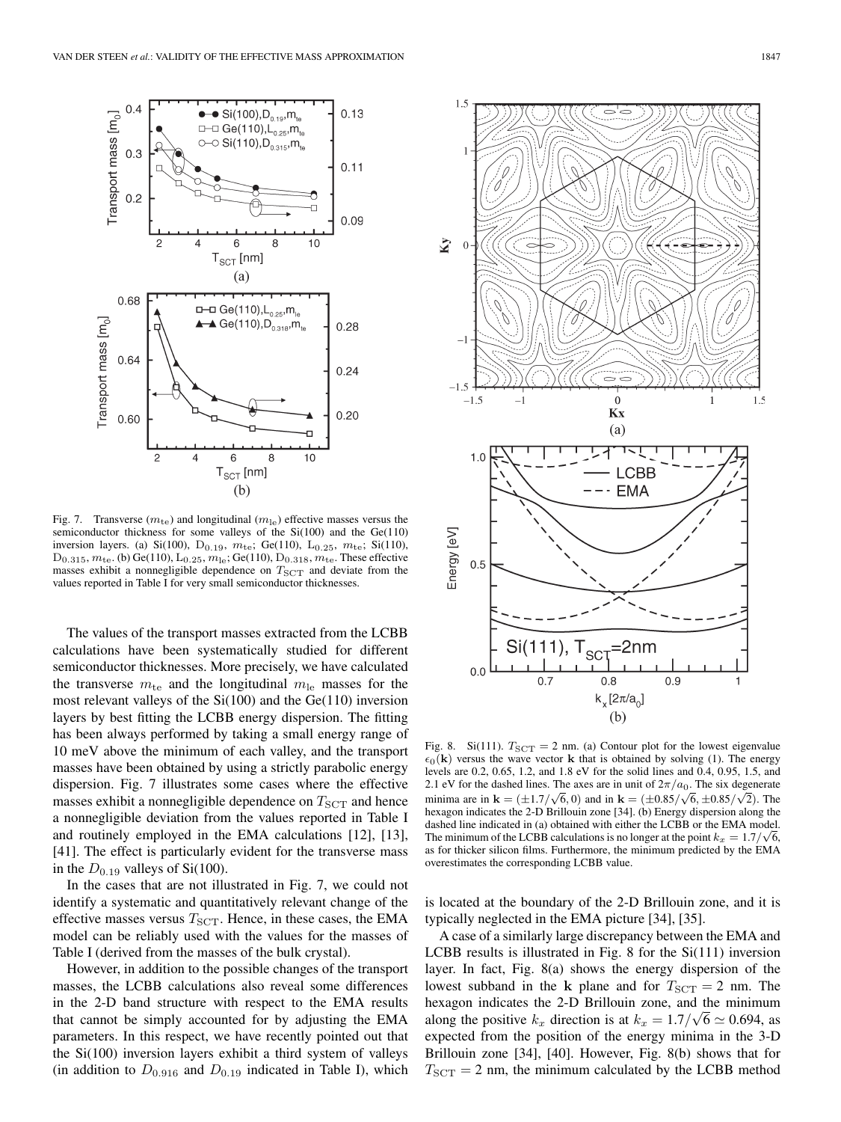

Fig. 7. Transverse ( $m_{\text{te}}$ ) and longitudinal ( $m_{\text{le}}$ ) effective masses versus the semiconductor thickness for some valleys of the  $Si(100)$  and the  $Ge(110)$ inversion layers. (a) Si(100), D<sub>0.19</sub>,  $m_{te}$ ; Ge(110), L<sub>0.25</sub>,  $m_{te}$ ; Si(110),  $D_{0.315}, m_{te}$ . (b) Ge(110),  $L_{0.25}, m_{le}$ ; Ge(110),  $D_{0.318}, m_{te}$ . These effective masses exhibit a nonnegligible dependence on  $T_{\text{SCT}}$  and deviate from the values reported in Table I for very small semiconductor thicknesses.

The values of the transport masses extracted from the LCBB calculations have been systematically studied for different semiconductor thicknesses. More precisely, we have calculated the transverse  $m_{\text{te}}$  and the longitudinal  $m_{\text{le}}$  masses for the most relevant valleys of the  $Si(100)$  and the  $Ge(110)$  inversion layers by best fitting the LCBB energy dispersion. The fitting has been always performed by taking a small energy range of 10 meV above the minimum of each valley, and the transport masses have been obtained by using a strictly parabolic energy dispersion. Fig. 7 illustrates some cases where the effective masses exhibit a nonnegligible dependence on  $T_{\text{SCT}}$  and hence a nonnegligible deviation from the values reported in Table I and routinely employed in the EMA calculations [12], [13], [41]. The effect is particularly evident for the transverse mass in the  $D_{0.19}$  valleys of Si(100).

In the cases that are not illustrated in Fig. 7, we could not identify a systematic and quantitatively relevant change of the effective masses versus  $T_{SCT}$ . Hence, in these cases, the EMA model can be reliably used with the values for the masses of Table I (derived from the masses of the bulk crystal).

However, in addition to the possible changes of the transport masses, the LCBB calculations also reveal some differences in the 2-D band structure with respect to the EMA results that cannot be simply accounted for by adjusting the EMA parameters. In this respect, we have recently pointed out that the Si(100) inversion layers exhibit a third system of valleys (in addition to  $D_{0.916}$  and  $D_{0.19}$  indicated in Table I), which



Fig. 8. Si(111).  $T_{SCT} = 2$  nm. (a) Contour plot for the lowest eigenvalue  $\epsilon_0(\mathbf{k})$  versus the wave vector **k** that is obtained by solving (1). The energy levels are 0.2, 0.65, 1.2, and 1.8 eV for the solid lines and 0.4, 0.95, 1.5, and 2.1 eV for the dashed lines. The axes are in unit of  $2\pi/a_0$ . The six degenerate minima are in **k** =  $(\pm 1.7/\sqrt{6}, 0)$  and in **k** =  $(\pm 0.85/\sqrt{6}, \pm 0.85/\sqrt{2})$ . The hexagon indicates the 2-D Brillouin zone [34]. (b) Energy dispersion along the dashed line indicated in (a) obtained with either the LCBB or the EMA model. The minimum of the LCBB calculations is no longer at the point  $k_x = 1.7/\sqrt{6}$ , as for thicker silicon films. Furthermore, the minimum predicted by the EMA overestimates the corresponding LCBB value.

is located at the boundary of the 2-D Brillouin zone, and it is typically neglected in the EMA picture [34], [35].

A case of a similarly large discrepancy between the EMA and LCBB results is illustrated in Fig. 8 for the Si(111) inversion layer. In fact, Fig. 8(a) shows the energy dispersion of the lowest subband in the **k** plane and for  $T_{\text{SCT}} = 2$  nm. The hexagon indicates the 2-D Brillouin zone, and the minimum along the positive  $k_x$  direction is at  $k_x = 1.7/\sqrt{6} \approx 0.694$ , as expected from the position of the energy minima in the 3-D Brillouin zone [34], [40]. However, Fig. 8(b) shows that for  $T_{\text{SCT}} = 2$  nm, the minimum calculated by the LCBB method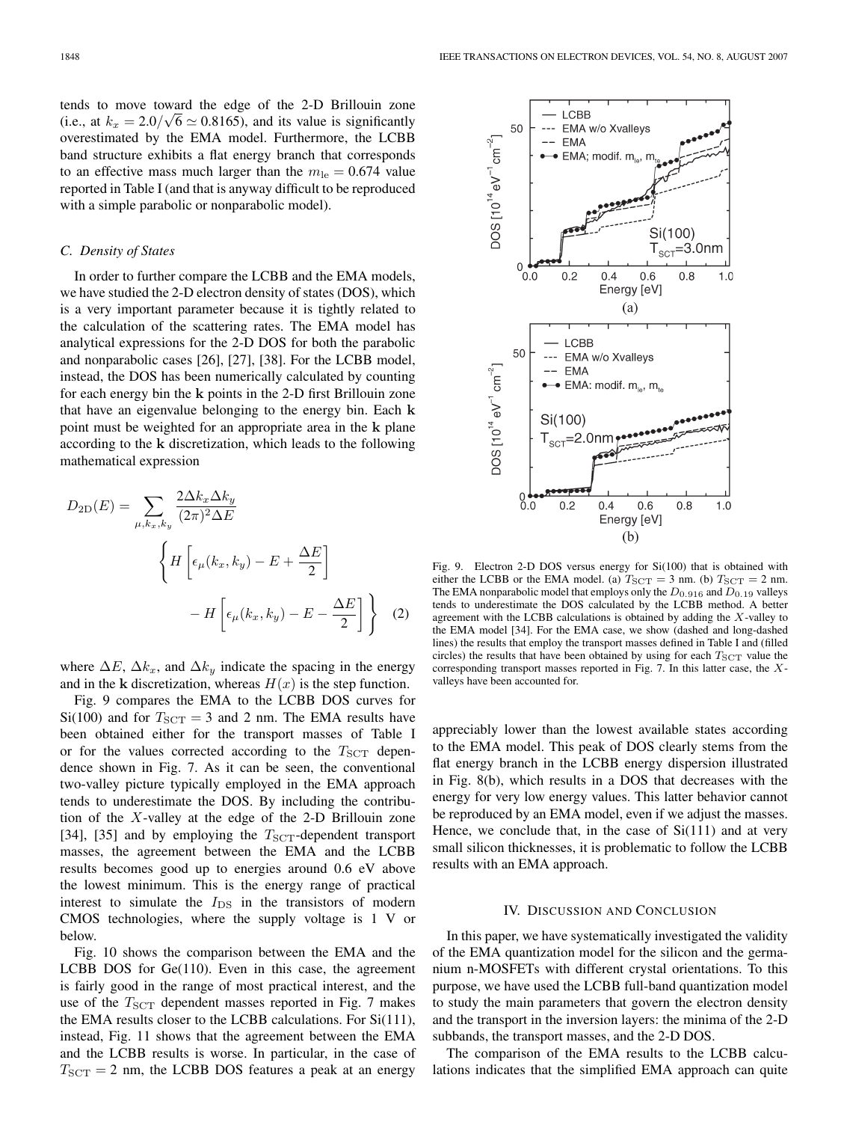tends to move toward the edge of the 2-D Brillouin zone (i.e., at  $k_x = 2.0/\sqrt{6} \approx 0.8165$ ), and its value is significantly overestimated by the EMA model. Furthermore, the LCBB band structure exhibits a flat energy branch that corresponds to an effective mass much larger than the  $m_{\text{le}} = 0.674$  value reported in Table I (and that is anyway difficult to be reproduced with a simple parabolic or nonparabolic model).

# *C. Density of States*

In order to further compare the LCBB and the EMA models, we have studied the 2-D electron density of states (DOS), which is a very important parameter because it is tightly related to the calculation of the scattering rates. The EMA model has analytical expressions for the 2-D DOS for both the parabolic and nonparabolic cases [26], [27], [38]. For the LCBB model, instead, the DOS has been numerically calculated by counting for each energy bin the **k** points in the 2-D first Brillouin zone that have an eigenvalue belonging to the energy bin. Each **k** point must be weighted for an appropriate area in the **k** plane according to the **k** discretization, which leads to the following mathematical expression

$$
D_{2D}(E) = \sum_{\mu, k_x, k_y} \frac{2\Delta k_x \Delta k_y}{(2\pi)^2 \Delta E}
$$

$$
\left\{ H \left[ \epsilon_\mu(k_x, k_y) - E + \frac{\Delta E}{2} \right] - H \left[ \epsilon_\mu(k_x, k_y) - E - \frac{\Delta E}{2} \right] \right\} \quad (2)
$$

where  $\Delta E$ ,  $\Delta k_x$ , and  $\Delta k_y$  indicate the spacing in the energy and in the **k** discretization, whereas  $H(x)$  is the step function.

Fig. 9 compares the EMA to the LCBB DOS curves for Si(100) and for  $T_{SCT} = 3$  and 2 nm. The EMA results have been obtained either for the transport masses of Table I or for the values corrected according to the  $T_{\text{SCT}}$  dependence shown in Fig. 7. As it can be seen, the conventional two-valley picture typically employed in the EMA approach tends to underestimate the DOS. By including the contribution of the X-valley at the edge of the 2-D Brillouin zone [34], [35] and by employing the  $T_{\text{SCT}}$ -dependent transport masses, the agreement between the EMA and the LCBB results becomes good up to energies around 0.6 eV above the lowest minimum. This is the energy range of practical interest to simulate the  $I_{DS}$  in the transistors of modern CMOS technologies, where the supply voltage is 1 V or below.

Fig. 10 shows the comparison between the EMA and the LCBB DOS for Ge(110). Even in this case, the agreement is fairly good in the range of most practical interest, and the use of the  $T_{\text{SCT}}$  dependent masses reported in Fig. 7 makes the EMA results closer to the LCBB calculations. For Si(111), instead, Fig. 11 shows that the agreement between the EMA and the LCBB results is worse. In particular, in the case of  $T_{SCT} = 2$  nm, the LCBB DOS features a peak at an energy



Fig. 9. Electron 2-D DOS versus energy for Si(100) that is obtained with either the LCBB or the EMA model. (a)  $T_{SCT} = 3$  nm. (b)  $T_{SCT} = 2$  nm. The EMA nonparabolic model that employs only the  $D_{0.916}$  and  $D_{0.19}$  valleys tends to underestimate the DOS calculated by the LCBB method. A better agreement with the LCBB calculations is obtained by adding the X-valley to the EMA model [34]. For the EMA case, we show (dashed and long-dashed lines) the results that employ the transport masses defined in Table I and (filled circles) the results that have been obtained by using for each  $T_{\text{SCT}}$  value the corresponding transport masses reported in Fig. 7. In this latter case, the Xvalleys have been accounted for.

appreciably lower than the lowest available states according to the EMA model. This peak of DOS clearly stems from the flat energy branch in the LCBB energy dispersion illustrated in Fig. 8(b), which results in a DOS that decreases with the energy for very low energy values. This latter behavior cannot be reproduced by an EMA model, even if we adjust the masses. Hence, we conclude that, in the case of  $Si(111)$  and at very small silicon thicknesses, it is problematic to follow the LCBB results with an EMA approach.

# IV. DISCUSSION AND CONCLUSION

In this paper, we have systematically investigated the validity of the EMA quantization model for the silicon and the germanium n-MOSFETs with different crystal orientations. To this purpose, we have used the LCBB full-band quantization model to study the main parameters that govern the electron density and the transport in the inversion layers: the minima of the 2-D subbands, the transport masses, and the 2-D DOS.

The comparison of the EMA results to the LCBB calculations indicates that the simplified EMA approach can quite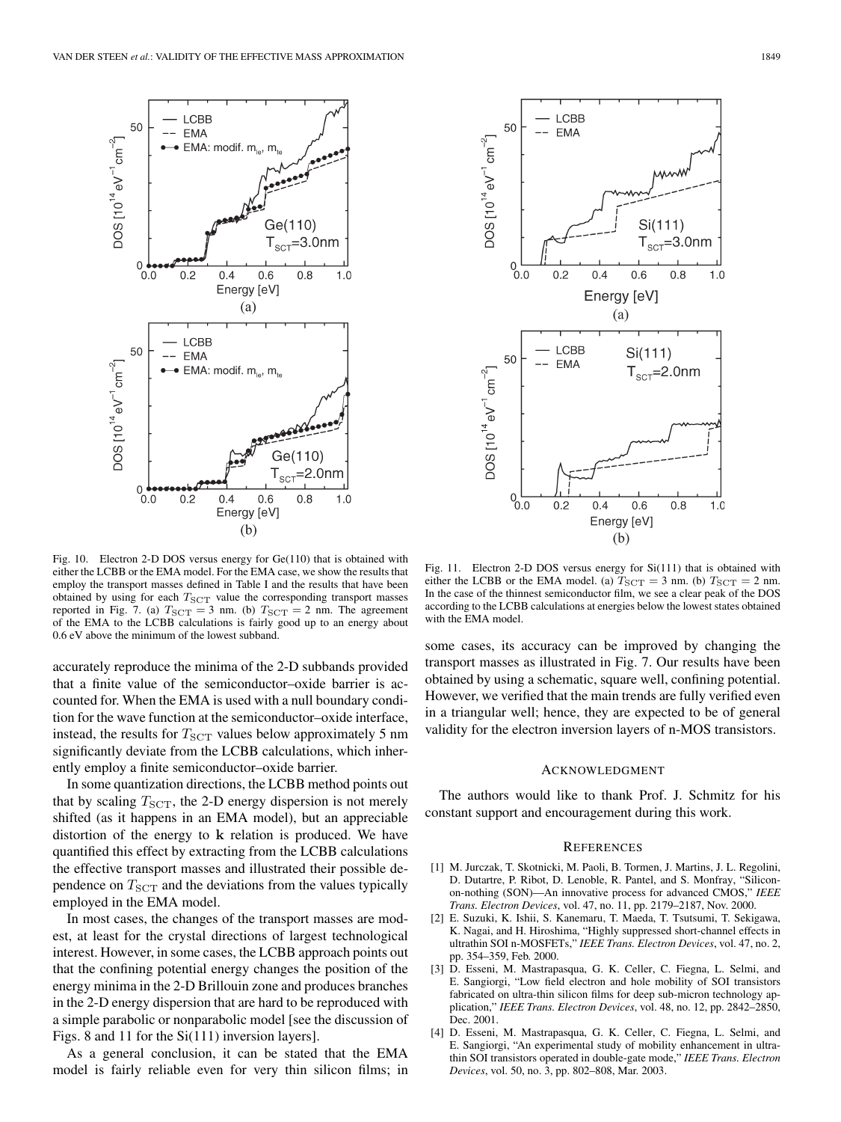

Fig. 10. Electron 2-D DOS versus energy for Ge(110) that is obtained with either the LCBB or the EMA model. For the EMA case, we show the results that employ the transport masses defined in Table I and the results that have been obtained by using for each  $T_{\text{SCT}}$  value the corresponding transport masses reported in Fig. 7. (a)  $T_{SCT} = 3$  nm. (b)  $T_{SCT} = 2$  nm. The agreement of the EMA to the LCBB calculations is fairly good up to an energy about 0.6 eV above the minimum of the lowest subband.

accurately reproduce the minima of the 2-D subbands provided that a finite value of the semiconductor–oxide barrier is accounted for. When the EMA is used with a null boundary condition for the wave function at the semiconductor–oxide interface, instead, the results for  $T_{\text{SCT}}$  values below approximately 5 nm significantly deviate from the LCBB calculations, which inherently employ a finite semiconductor–oxide barrier.

In some quantization directions, the LCBB method points out that by scaling  $T_{\text{SCT}}$ , the 2-D energy dispersion is not merely shifted (as it happens in an EMA model), but an appreciable distortion of the energy to **k** relation is produced. We have quantified this effect by extracting from the LCBB calculations the effective transport masses and illustrated their possible dependence on  $T_{\text{SCT}}$  and the deviations from the values typically employed in the EMA model.

In most cases, the changes of the transport masses are modest, at least for the crystal directions of largest technological interest. However, in some cases, the LCBB approach points out that the confining potential energy changes the position of the energy minima in the 2-D Brillouin zone and produces branches in the 2-D energy dispersion that are hard to be reproduced with a simple parabolic or nonparabolic model [see the discussion of Figs. 8 and 11 for the Si(111) inversion layers].

As a general conclusion, it can be stated that the EMA model is fairly reliable even for very thin silicon films; in



Fig. 11. Electron 2-D DOS versus energy for Si(111) that is obtained with either the LCBB or the EMA model. (a)  $T_{SCT} = 3$  nm. (b)  $T_{SCT} = 2$  nm. In the case of the thinnest semiconductor film, we see a clear peak of the DOS according to the LCBB calculations at energies below the lowest states obtained with the EMA model.

some cases, its accuracy can be improved by changing the transport masses as illustrated in Fig. 7. Our results have been obtained by using a schematic, square well, confining potential. However, we verified that the main trends are fully verified even in a triangular well; hence, they are expected to be of general validity for the electron inversion layers of n-MOS transistors.

### ACKNOWLEDGMENT

The authors would like to thank Prof. J. Schmitz for his constant support and encouragement during this work.

#### **REFERENCES**

- [1] M. Jurczak, T. Skotnicki, M. Paoli, B. Tormen, J. Martins, J. L. Regolini, D. Dutartre, P. Ribot, D. Lenoble, R. Pantel, and S. Monfray, "Siliconon-nothing (SON)—An innovative process for advanced CMOS," *IEEE Trans. Electron Devices*, vol. 47, no. 11, pp. 2179–2187, Nov. 2000.
- [2] E. Suzuki, K. Ishii, S. Kanemaru, T. Maeda, T. Tsutsumi, T. Sekigawa, K. Nagai, and H. Hiroshima, "Highly suppressed short-channel effects in ultrathin SOI n-MOSFETs," *IEEE Trans. Electron Devices*, vol. 47, no. 2, pp. 354–359, Feb. 2000.
- [3] D. Esseni, M. Mastrapasqua, G. K. Celler, C. Fiegna, L. Selmi, and E. Sangiorgi, "Low field electron and hole mobility of SOI transistors fabricated on ultra-thin silicon films for deep sub-micron technology application," *IEEE Trans. Electron Devices*, vol. 48, no. 12, pp. 2842–2850, Dec. 2001.
- [4] D. Esseni, M. Mastrapasqua, G. K. Celler, C. Fiegna, L. Selmi, and E. Sangiorgi, "An experimental study of mobility enhancement in ultrathin SOI transistors operated in double-gate mode," *IEEE Trans. Electron Devices*, vol. 50, no. 3, pp. 802–808, Mar. 2003.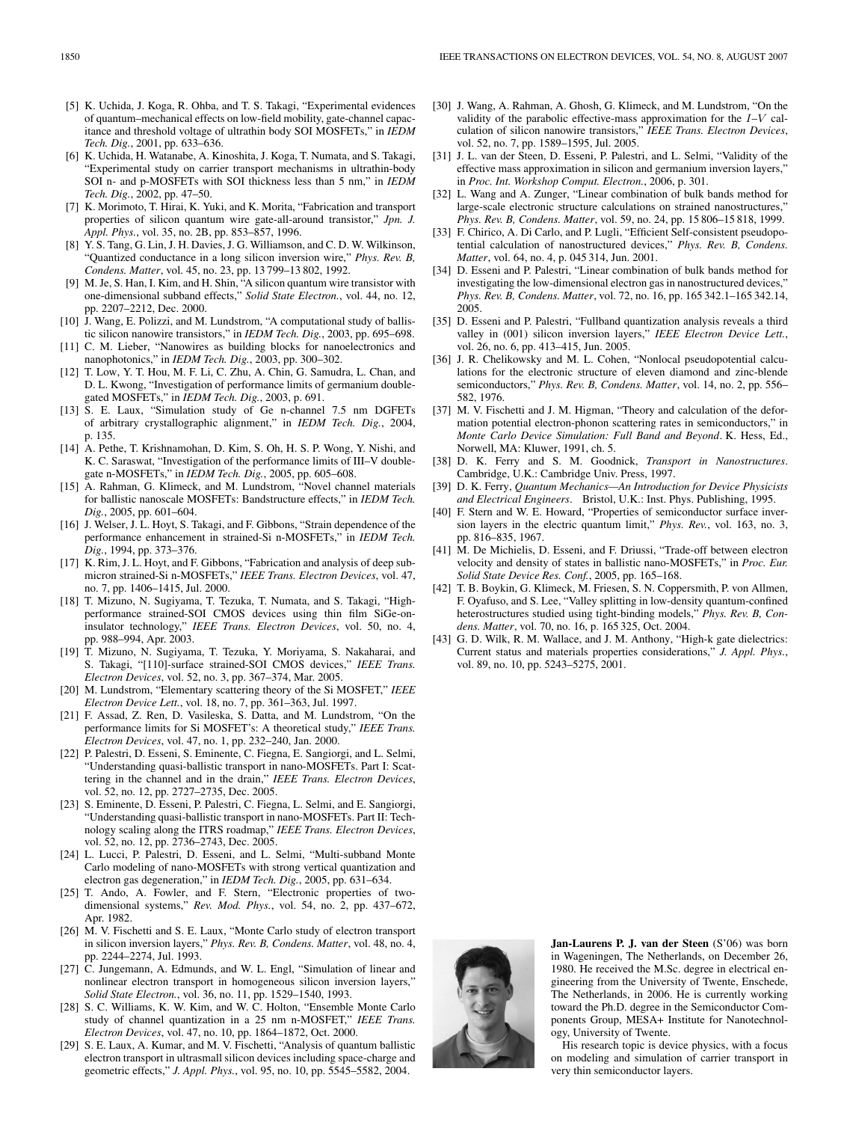- [5] K. Uchida, J. Koga, R. Ohba, and T. S. Takagi, "Experimental evidences of quantum–mechanical effects on low-field mobility, gate-channel capacitance and threshold voltage of ultrathin body SOI MOSFETs," in *IEDM Tech. Dig.*, 2001, pp. 633–636.
- [6] K. Uchida, H. Watanabe, A. Kinoshita, J. Koga, T. Numata, and S. Takagi, "Experimental study on carrier transport mechanisms in ultrathin-body SOI n- and p-MOSFETs with SOI thickness less than 5 nm," in *IEDM Tech. Dig.*, 2002, pp. 47–50.
- [7] K. Morimoto, T. Hirai, K. Yuki, and K. Morita, "Fabrication and transport properties of silicon quantum wire gate-all-around transistor," *Jpn. J. Appl. Phys.*, vol. 35, no. 2B, pp. 853–857, 1996.
- [8] Y. S. Tang, G. Lin, J. H. Davies, J. G. Williamson, and C. D. W. Wilkinson, "Quantized conductance in a long silicon inversion wire," *Phys. Rev. B, Condens. Matter*, vol. 45, no. 23, pp. 13 799–13 802, 1992.
- [9] M. Je, S. Han, I. Kim, and H. Shin, "A silicon quantum wire transistor with one-dimensional subband effects," *Solid State Electron.*, vol. 44, no. 12, pp. 2207–2212, Dec. 2000.
- [10] J. Wang, E. Polizzi, and M. Lundstrom, "A computational study of ballistic silicon nanowire transistors," in *IEDM Tech. Dig.*, 2003, pp. 695–698.
- [11] C. M. Lieber, "Nanowires as building blocks for nanoelectronics and nanophotonics," in *IEDM Tech. Dig.*, 2003, pp. 300–302.
- [12] T. Low, Y. T. Hou, M. F. Li, C. Zhu, A. Chin, G. Samudra, L. Chan, and D. L. Kwong, "Investigation of performance limits of germanium doublegated MOSFETs," in *IEDM Tech. Dig.*, 2003, p. 691.
- [13] S. E. Laux, "Simulation study of Ge n-channel 7.5 nm DGFETs of arbitrary crystallographic alignment," in *IEDM Tech. Dig.*, 2004, p. 135.
- [14] A. Pethe, T. Krishnamohan, D. Kim, S. Oh, H. S. P. Wong, Y. Nishi, and K. C. Saraswat, "Investigation of the performance limits of III–V doublegate n-MOSFETs," in *IEDM Tech. Dig.*, 2005, pp. 605–608.
- [15] A. Rahman, G. Klimeck, and M. Lundstrom, "Novel channel materials for ballistic nanoscale MOSFETs: Bandstructure effects," in *IEDM Tech. Dig.*, 2005, pp. 601–604.
- [16] J. Welser, J. L. Hoyt, S. Takagi, and F. Gibbons, "Strain dependence of the performance enhancement in strained-Si n-MOSFETs," in *IEDM Tech. Dig.*, 1994, pp. 373–376.
- [17] K. Rim, J. L. Hoyt, and F. Gibbons, "Fabrication and analysis of deep submicron strained-Si n-MOSFETs," *IEEE Trans. Electron Devices*, vol. 47, no. 7, pp. 1406–1415, Jul. 2000.
- [18] T. Mizuno, N. Sugiyama, T. Tezuka, T. Numata, and S. Takagi, "Highperformance strained-SOI CMOS devices using thin film SiGe-oninsulator technology," *IEEE Trans. Electron Devices*, vol. 50, no. 4, pp. 988–994, Apr. 2003.
- [19] T. Mizuno, N. Sugiyama, T. Tezuka, Y. Moriyama, S. Nakaharai, and S. Takagi, "[110]-surface strained-SOI CMOS devices," *IEEE Trans. Electron Devices*, vol. 52, no. 3, pp. 367–374, Mar. 2005.
- [20] M. Lundstrom, "Elementary scattering theory of the Si MOSFET," *IEEE Electron Device Lett.*, vol. 18, no. 7, pp. 361–363, Jul. 1997.
- [21] F. Assad, Z. Ren, D. Vasileska, S. Datta, and M. Lundstrom, "On the performance limits for Si MOSFET's: A theoretical study," *IEEE Trans. Electron Devices*, vol. 47, no. 1, pp. 232–240, Jan. 2000.
- [22] P. Palestri, D. Esseni, S. Eminente, C. Fiegna, E. Sangiorgi, and L. Selmi, "Understanding quasi-ballistic transport in nano-MOSFETs. Part I: Scattering in the channel and in the drain," *IEEE Trans. Electron Devices*, vol. 52, no. 12, pp. 2727–2735, Dec. 2005.
- [23] S. Eminente, D. Esseni, P. Palestri, C. Fiegna, L. Selmi, and E. Sangiorgi, "Understanding quasi-ballistic transport in nano-MOSFETs. Part II: Technology scaling along the ITRS roadmap," *IEEE Trans. Electron Devices*, vol. 52, no. 12, pp. 2736–2743, Dec. 2005.
- [24] L. Lucci, P. Palestri, D. Esseni, and L. Selmi, "Multi-subband Monte Carlo modeling of nano-MOSFETs with strong vertical quantization and electron gas degeneration," in *IEDM Tech. Dig.*, 2005, pp. 631–634.
- [25] T. Ando, A. Fowler, and F. Stern, "Electronic properties of twodimensional systems," *Rev. Mod. Phys.*, vol. 54, no. 2, pp. 437–672, Apr. 1982.
- [26] M. V. Fischetti and S. E. Laux, "Monte Carlo study of electron transport in silicon inversion layers," *Phys. Rev. B, Condens. Matter*, vol. 48, no. 4, pp. 2244–2274, Jul. 1993.
- [27] C. Jungemann, A. Edmunds, and W. L. Engl, "Simulation of linear and nonlinear electron transport in homogeneous silicon inversion layers," *Solid State Electron.*, vol. 36, no. 11, pp. 1529–1540, 1993.
- [28] S. C. Williams, K. W. Kim, and W. C. Holton, "Ensemble Monte Carlo study of channel quantization in a 25 nm n-MOSFET," *IEEE Trans. Electron Devices*, vol. 47, no. 10, pp. 1864–1872, Oct. 2000.
- [29] S. E. Laux, A. Kumar, and M. V. Fischetti, "Analysis of quantum ballistic electron transport in ultrasmall silicon devices including space-charge and geometric effects," *J. Appl. Phys.*, vol. 95, no. 10, pp. 5545–5582, 2004.
- [30] J. Wang, A. Rahman, A. Ghosh, G. Klimeck, and M. Lundstrom, "On the validity of the parabolic effective-mass approximation for the  $I-V$  calculation of silicon nanowire transistors," *IEEE Trans. Electron Devices*, vol. 52, no. 7, pp. 1589–1595, Jul. 2005.
- [31] J. L. van der Steen, D. Esseni, P. Palestri, and L. Selmi, "Validity of the effective mass approximation in silicon and germanium inversion layers," in *Proc. Int. Workshop Comput. Electron.*, 2006, p. 301.
- [32] L. Wang and A. Zunger, "Linear combination of bulk bands method for large-scale electronic structure calculations on strained nanostructures," *Phys. Rev. B, Condens. Matter*, vol. 59, no. 24, pp. 15 806–15 818, 1999.
- [33] F. Chirico, A. Di Carlo, and P. Lugli, "Efficient Self-consistent pseudopotential calculation of nanostructured devices," *Phys. Rev. B, Condens. Matter*, vol. 64, no. 4, p. 045 314, Jun. 2001.
- [34] D. Esseni and P. Palestri, "Linear combination of bulk bands method for investigating the low-dimensional electron gas in nanostructured devices, *Phys. Rev. B, Condens. Matter*, vol. 72, no. 16, pp. 165 342.1–165 342.14, 2005.
- [35] D. Esseni and P. Palestri, "Fullband quantization analysis reveals a third valley in (001) silicon inversion layers," *IEEE Electron Device Lett.*, vol. 26, no. 6, pp. 413–415, Jun. 2005.
- [36] J. R. Chelikowsky and M. L. Cohen, "Nonlocal pseudopotential calculations for the electronic structure of eleven diamond and zinc-blende semiconductors," *Phys. Rev. B, Condens. Matter*, vol. 14, no. 2, pp. 556– 582, 1976.
- [37] M. V. Fischetti and J. M. Higman, "Theory and calculation of the deformation potential electron-phonon scattering rates in semiconductors," in *Monte Carlo Device Simulation: Full Band and Beyond*. K. Hess, Ed., Norwell, MA: Kluwer, 1991, ch. 5.
- [38] D. K. Ferry and S. M. Goodnick, *Transport in Nanostructures*. Cambridge, U.K.: Cambridge Univ. Press, 1997.
- [39] D. K. Ferry, *Quantum Mechanics—An Introduction for Device Physicists and Electrical Engineers*. Bristol, U.K.: Inst. Phys. Publishing, 1995.
- [40] F. Stern and W. E. Howard, "Properties of semiconductor surface inversion layers in the electric quantum limit," *Phys. Rev.*, vol. 163, no. 3, pp. 816–835, 1967.
- [41] M. De Michielis, D. Esseni, and F. Driussi, "Trade-off between electron velocity and density of states in ballistic nano-MOSFETs," in *Proc. Eur. Solid State Device Res. Conf.*, 2005, pp. 165–168.
- [42] T. B. Boykin, G. Klimeck, M. Friesen, S. N. Coppersmith, P. von Allmen, F. Oyafuso, and S. Lee, "Valley splitting in low-density quantum-confined heterostructures studied using tight-binding models," *Phys. Rev. B, Condens. Matter*, vol. 70, no. 16, p. 165 325, Oct. 2004.
- [43] G. D. Wilk, R. M. Wallace, and J. M. Anthony, "High-k gate dielectrics: Current status and materials properties considerations," *J. Appl. Phys.*, vol. 89, no. 10, pp. 5243–5275, 2001.



**Jan-Laurens P. J. van der Steen** (S'06) was born in Wageningen, The Netherlands, on December 26, 1980. He received the M.Sc. degree in electrical engineering from the University of Twente, Enschede, The Netherlands, in 2006. He is currently working toward the Ph.D. degree in the Semiconductor Components Group, MESA+ Institute for Nanotechnology, University of Twente.

His research topic is device physics, with a focus on modeling and simulation of carrier transport in very thin semiconductor layers.